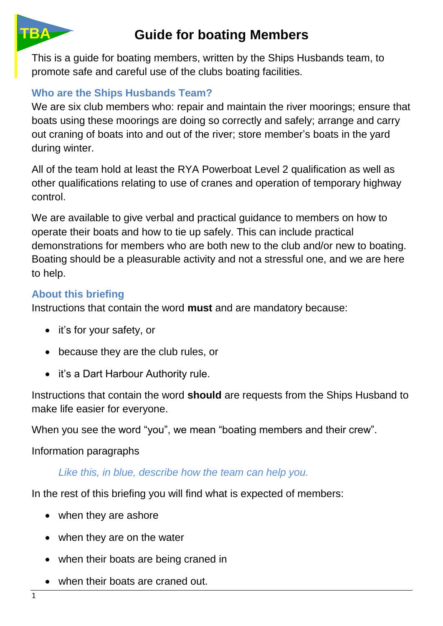

# **Guide for boating Members**

This is a guide for boating members, written by the Ships Husbands team, to promote safe and careful use of the clubs boating facilities.

# **Who are the Ships Husbands Team?**

We are six club members who: repair and maintain the river moorings; ensure that boats using these moorings are doing so correctly and safely; arrange and carry out craning of boats into and out of the river; store member's boats in the yard during winter.

All of the team hold at least the RYA Powerboat Level 2 qualification as well as other qualifications relating to use of cranes and operation of temporary highway control.

We are available to give verbal and practical guidance to members on how to operate their boats and how to tie up safely. This can include practical demonstrations for members who are both new to the club and/or new to boating. Boating should be a pleasurable activity and not a stressful one, and we are here to help.

#### **About this briefing**

Instructions that contain the word **must** and are mandatory because:

- it's for your safety, or
- because they are the club rules, or
- it's a Dart Harbour Authority rule.

Instructions that contain the word **should** are requests from the Ships Husband to make life easier for everyone.

When you see the word "you", we mean "boating members and their crew".

Information paragraphs

#### *Like this, in blue, describe how the team can help you.*

In the rest of this briefing you will find what is expected of members:

- when they are ashore
- when they are on the water
- when their boats are being craned in
- when their boats are craned out.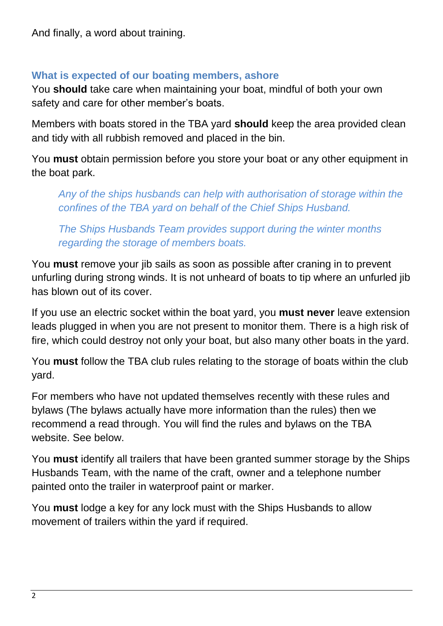And finally, a word about training.

#### **What is expected of our boating members, ashore**

You **should** take care when maintaining your boat, mindful of both your own safety and care for other member's boats.

Members with boats stored in the TBA yard **should** keep the area provided clean and tidy with all rubbish removed and placed in the bin.

You **must** obtain permission before you store your boat or any other equipment in the boat park.

*Any of the ships husbands can help with authorisation of storage within the confines of the TBA yard on behalf of the Chief Ships Husband.*

*The Ships Husbands Team provides support during the winter months regarding the storage of members boats.*

You **must** remove your jib sails as soon as possible after craning in to prevent unfurling during strong winds. It is not unheard of boats to tip where an unfurled jib has blown out of its cover.

If you use an electric socket within the boat yard, you **must never** leave extension leads plugged in when you are not present to monitor them. There is a high risk of fire, which could destroy not only your boat, but also many other boats in the yard.

You **must** follow the TBA club rules relating to the storage of boats within the club yard.

For members who have not updated themselves recently with these rules and bylaws (The bylaws actually have more information than the rules) then we recommend a read through. You will find the rules and bylaws on the TBA website. See below.

You **must** identify all trailers that have been granted summer storage by the Ships Husbands Team, with the name of the craft, owner and a telephone number painted onto the trailer in waterproof paint or marker.

You **must** lodge a key for any lock must with the Ships Husbands to allow movement of trailers within the yard if required.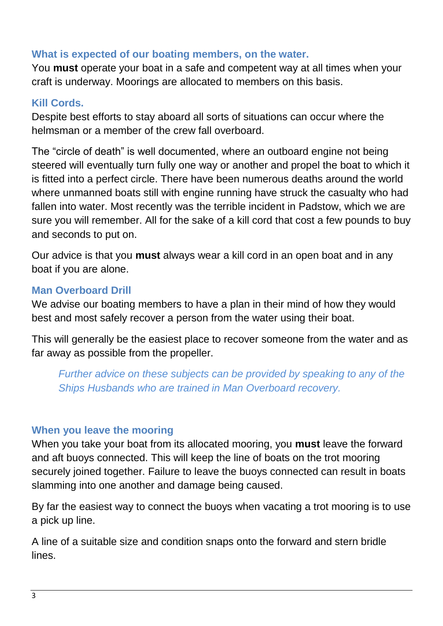### **What is expected of our boating members, on the water.**

You **must** operate your boat in a safe and competent way at all times when your craft is underway. Moorings are allocated to members on this basis.

### **Kill Cords.**

Despite best efforts to stay aboard all sorts of situations can occur where the helmsman or a member of the crew fall overboard.

The "circle of death" is well documented, where an outboard engine not being steered will eventually turn fully one way or another and propel the boat to which it is fitted into a perfect circle. There have been numerous deaths around the world where unmanned boats still with engine running have struck the casualty who had fallen into water. Most recently was the terrible incident in Padstow, which we are sure you will remember. All for the sake of a kill cord that cost a few pounds to buy and seconds to put on.

Our advice is that you **must** always wear a kill cord in an open boat and in any boat if you are alone.

# **Man Overboard Drill**

We advise our boating members to have a plan in their mind of how they would best and most safely recover a person from the water using their boat.

This will generally be the easiest place to recover someone from the water and as far away as possible from the propeller.

*Further advice on these subjects can be provided by speaking to any of the Ships Husbands who are trained in Man Overboard recovery.*

#### **When you leave the mooring**

When you take your boat from its allocated mooring, you **must** leave the forward and aft buoys connected. This will keep the line of boats on the trot mooring securely joined together. Failure to leave the buoys connected can result in boats slamming into one another and damage being caused.

By far the easiest way to connect the buoys when vacating a trot mooring is to use a pick up line.

A line of a suitable size and condition snaps onto the forward and stern bridle lines.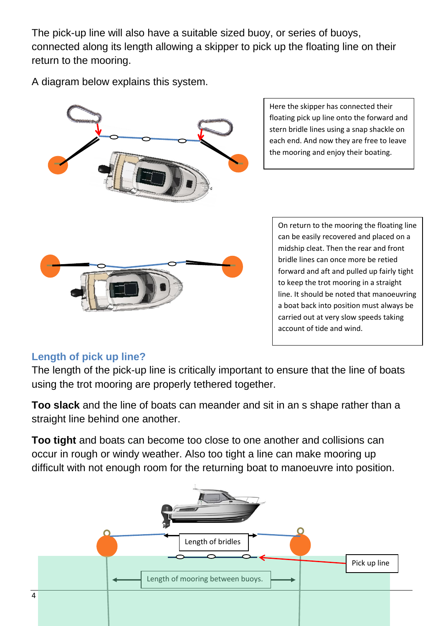The pick-up line will also have a suitable sized buoy, or series of buoys, connected along its length allowing a skipper to pick up the floating line on their return to the mooring.

A diagram below explains this system.



Here the skipper has connected their floating pick up line onto the forward and stern bridle lines using a snap shackle on each end. And now they are free to leave the mooring and enjoy their boating.

On return to the mooring the floating line can be easily recovered and placed on a midship cleat. Then the rear and front bridle lines can once more be retied forward and aft and pulled up fairly tight to keep the trot mooring in a straight line. It should be noted that manoeuvring a boat back into position must always be carried out at very slow speeds taking account of tide and wind.

#### **Length of pick up line?**

The length of the pick-up line is critically important to ensure that the line of boats using the trot mooring are properly tethered together.

**Too slack** and the line of boats can meander and sit in an s shape rather than a straight line behind one another.

**Too tight** and boats can become too close to one another and collisions can occur in rough or windy weather. Also too tight a line can make mooring up difficult with not enough room for the returning boat to manoeuvre into position.

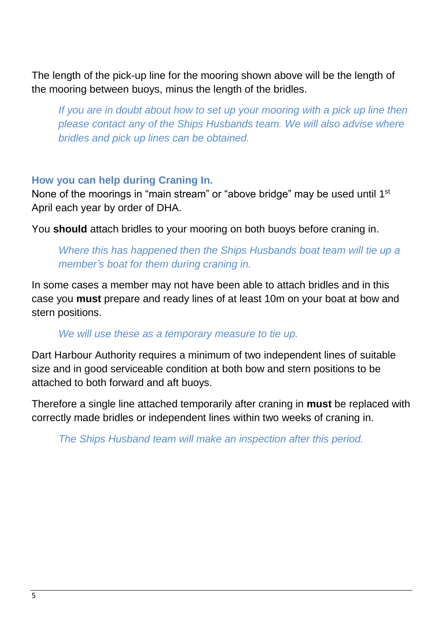The length of the pick-up line for the mooring shown above will be the length of the mooring between buoys, minus the length of the bridles.

*If you are in doubt about how to set up your mooring with a pick up line then please contact any of the Ships Husbands team. We will also advise where bridles and pick up lines can be obtained.*

#### **How you can help during Craning In.**

None of the moorings in "main stream" or "above bridge" may be used until 1<sup>st</sup> April each year by order of DHA.

You **should** attach bridles to your mooring on both buoys before craning in.

*Where this has happened then the Ships Husbands boat team will tie up a member's boat for them during craning in.*

In some cases a member may not have been able to attach bridles and in this case you **must** prepare and ready lines of at least 10m on your boat at bow and stern positions.

#### *We will use these as a temporary measure to tie up.*

Dart Harbour Authority requires a minimum of two independent lines of suitable size and in good serviceable condition at both bow and stern positions to be attached to both forward and aft buoys.

Therefore a single line attached temporarily after craning in **must** be replaced with correctly made bridles or independent lines within two weeks of craning in.

*The Ships Husband team will make an inspection after this period.*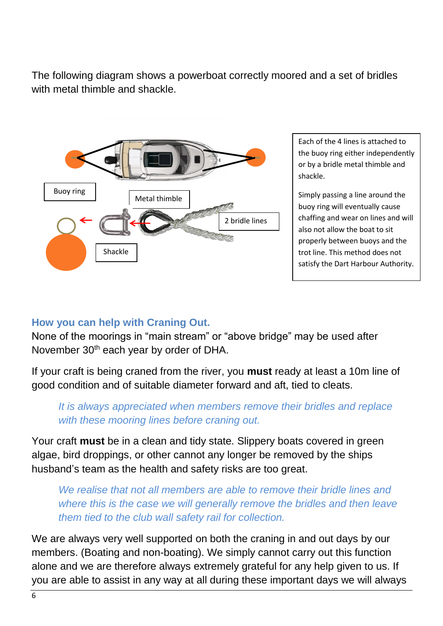The following diagram shows a powerboat correctly moored and a set of bridles with metal thimble and shackle



Each of the 4 lines is attached to the buoy ring either independently or by a bridle metal thimble and shackle.

Simply passing a line around the buoy ring will eventually cause chaffing and wear on lines and will also not allow the boat to sit properly between buoys and the trot line. This method does not satisfy the Dart Harbour Authority.

# **How you can help with Craning Out.**

None of the moorings in "main stream" or "above bridge" may be used after November 30<sup>th</sup> each year by order of DHA.

If your craft is being craned from the river, you **must** ready at least a 10m line of good condition and of suitable diameter forward and aft, tied to cleats.

## *It is always appreciated when members remove their bridles and replace with these mooring lines before craning out.*

Your craft **must** be in a clean and tidy state. Slippery boats covered in green algae, bird droppings, or other cannot any longer be removed by the ships husband's team as the health and safety risks are too great.

*We realise that not all members are able to remove their bridle lines and where this is the case we will generally remove the bridles and then leave them tied to the club wall safety rail for collection.*

We are always very well supported on both the craning in and out days by our members. (Boating and non-boating). We simply cannot carry out this function alone and we are therefore always extremely grateful for any help given to us. If you are able to assist in any way at all during these important days we will always